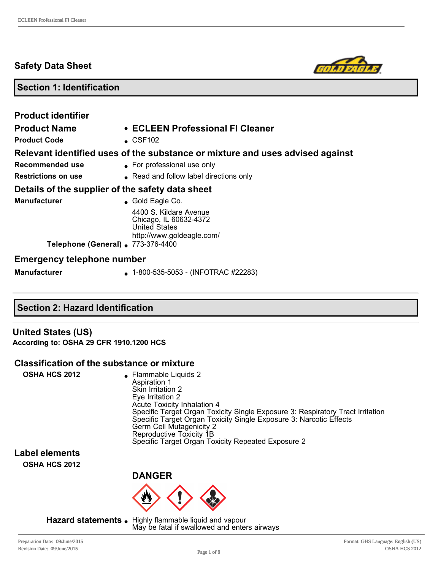## **Safety Data Sheet**



## **Section 1: Identification**

| <b>Product identifier</b><br><b>Product Name</b><br><b>Product Code</b>                                       | • ECLEEN Professional FI Cleaner<br>$\textdegree$ CSF102                                                                                                |
|---------------------------------------------------------------------------------------------------------------|---------------------------------------------------------------------------------------------------------------------------------------------------------|
| Recommended use<br><b>Restrictions on use</b>                                                                 | Relevant identified uses of the substance or mixture and uses advised against<br>• For professional use only<br>• Read and follow label directions only |
| Details of the supplier of the safety data sheet<br><b>Manufacturer</b><br>Telephone (General) . 773-376-4400 | $\bullet$ Gold Eagle Co.<br>4400 S. Kildare Avenue<br>Chicago, IL 60632-4372<br><b>United States</b><br>http://www.goldeagle.com/                       |
| <b>Emergency telephone number</b><br><b>Manufacturer</b>                                                      | $\bullet$ 1-800-535-5053 - (INFOTRAC #22283)                                                                                                            |

## **Section 2: Hazard Identification**

**United States (US) According to: OSHA 29 CFR 1910.1200 HCS**

#### **Classification of the substance or mixture**

| <b>OSHA HCS 2012</b><br>• Flammable Liquids 2<br>Aspiration 1<br>Skin Irritation 2<br>Eye Irritation 2<br><b>Acute Toxicity Inhalation 4</b><br>Specific Target Organ Toxicity Single Exposure 3: Respiratory Tract Irritation<br>Specific Target Organ Toxicity Single Exposure 3: Narcotic Effects<br>Germ Cell Mutagenicity 2<br>Reproductive Toxicity 1B<br>Specific Target Organ Toxicity Repeated Exposure 2 |  |
|--------------------------------------------------------------------------------------------------------------------------------------------------------------------------------------------------------------------------------------------------------------------------------------------------------------------------------------------------------------------------------------------------------------------|--|
|--------------------------------------------------------------------------------------------------------------------------------------------------------------------------------------------------------------------------------------------------------------------------------------------------------------------------------------------------------------------------------------------------------------------|--|

**Label elements OSHA HCS 2012**



Hazard statements . Highly flammable liquid and vapour May be fatal if swallowed and enters airways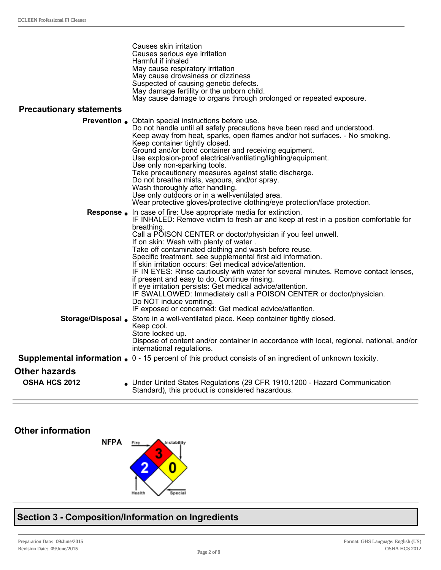|                                 | Causes skin irritation<br>Causes serious eye irritation<br>Harmful if inhaled<br>May cause respiratory irritation<br>May cause drowsiness or dizziness<br>Suspected of causing genetic defects.<br>May damage fertility or the unborn child.                                                                                                                                                                                                                                                                                                                                                                                                                                                                                                                                                                                           |
|---------------------------------|----------------------------------------------------------------------------------------------------------------------------------------------------------------------------------------------------------------------------------------------------------------------------------------------------------------------------------------------------------------------------------------------------------------------------------------------------------------------------------------------------------------------------------------------------------------------------------------------------------------------------------------------------------------------------------------------------------------------------------------------------------------------------------------------------------------------------------------|
|                                 | May cause damage to organs through prolonged or repeated exposure.                                                                                                                                                                                                                                                                                                                                                                                                                                                                                                                                                                                                                                                                                                                                                                     |
| <b>Precautionary statements</b> |                                                                                                                                                                                                                                                                                                                                                                                                                                                                                                                                                                                                                                                                                                                                                                                                                                        |
|                                 | <b>Prevention .</b> Obtain special instructions before use.<br>Do not handle until all safety precautions have been read and understood.<br>Keep away from heat, sparks, open flames and/or hot surfaces. - No smoking.<br>Keep container tightly closed.<br>Ground and/or bond container and receiving equipment.<br>Use explosion-proof electrical/ventilating/lighting/equipment.<br>Use only non-sparking tools.<br>Take precautionary measures against static discharge.<br>Do not breathe mists, vapours, and/or spray.<br>Wash thoroughly after handling.<br>Use only outdoors or in a well-ventilated area.<br>Wear protective gloves/protective clothing/eye protection/face protection.                                                                                                                                      |
|                                 | Response . In case of fire: Use appropriate media for extinction.<br>IF INHALED: Remove victim to fresh air and keep at rest in a position comfortable for<br>breathing.<br>Call a POISON CENTER or doctor/physician if you feel unwell.<br>If on skin: Wash with plenty of water.<br>Take off contaminated clothing and wash before reuse.<br>Specific treatment, see supplemental first aid information.<br>If skin irritation occurs: Get medical advice/attention.<br>IF IN EYES: Rinse cautiously with water for several minutes. Remove contact lenses,<br>if present and easy to do. Continue rinsing.<br>If eye irritation persists: Get medical advice/attention.<br>IF SWALLOWED: Immediately call a POISON CENTER or doctor/physician.<br>Do NOT induce vomiting.<br>IF exposed or concerned: Get medical advice/attention. |
|                                 | Storage/Disposal . Store in a well-ventilated place. Keep container tightly closed.<br>Keep cool.<br>Store locked up.<br>Dispose of content and/or container in accordance with local, regional, national, and/or<br>international regulations.                                                                                                                                                                                                                                                                                                                                                                                                                                                                                                                                                                                        |
|                                 | <b>Supplemental information.</b> $0 - 15$ percent of this product consists of an ingredient of unknown toxicity.                                                                                                                                                                                                                                                                                                                                                                                                                                                                                                                                                                                                                                                                                                                       |
| <b>Other hazards</b>            |                                                                                                                                                                                                                                                                                                                                                                                                                                                                                                                                                                                                                                                                                                                                                                                                                                        |
| OSHA HCS 2012                   | • Under United States Regulations (29 CFR 1910.1200 - Hazard Communication<br>Standard), this product is considered hazardous.                                                                                                                                                                                                                                                                                                                                                                                                                                                                                                                                                                                                                                                                                                         |

## **Other information**



# **Section 3 Composition/Information on Ingredients**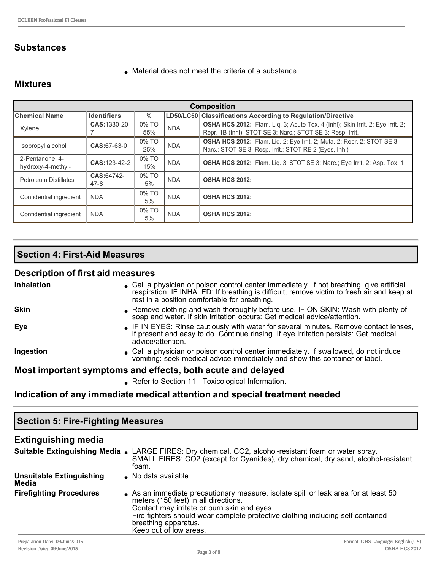## **Substances**

 $\bullet$  Material does not meet the criteria of a substance.

## **Mixtures**

| <b>Composition</b>                   |                    |                |            |                                                                                                                                                     |  |
|--------------------------------------|--------------------|----------------|------------|-----------------------------------------------------------------------------------------------------------------------------------------------------|--|
| <b>Chemical Name</b>                 | <b>Identifiers</b> | $\%$           |            | LD50/LC50 Classifications According to Regulation/Directive                                                                                         |  |
| Xylene                               | CAS: 1330-20-      | 0% TO<br>55%   | <b>NDA</b> | <b>OSHA HCS 2012:</b> Flam. Lig. 3; Acute Tox. 4 (Inhl); Skin Irrit. 2; Eye Irrit. 2;<br>Repr. 1B (Inhl); STOT SE 3: Narc.; STOT SE 3: Resp. Irrit. |  |
| Isopropyl alcohol                    | $CAS:67-63-0$      | 0% TO<br>25%   | <b>NDA</b> | OSHA HCS 2012: Flam. Liq. 2; Eye Irrit. 2; Muta. 2; Repr. 2; STOT SE 3:<br>Narc.; STOT SE 3: Resp. Irrit.; STOT RE 2 (Eyes, Inhl)                   |  |
| 2-Pentanone, 4-<br>hydroxy-4-methyl- | CAS: 123-42-2      | 0% TO<br>15%   | <b>NDA</b> | <b>OSHA HCS 2012:</b> Flam. Lig. 3; STOT SE 3: Narc.; Eye Irrit. 2; Asp. Tox. 1                                                                     |  |
| <b>Petroleum Distillates</b>         | CAS:64742-<br>47-8 | $0\%$ TO<br>5% | <b>NDA</b> | <b>OSHA HCS 2012:</b>                                                                                                                               |  |
| Confidential ingredient              | <b>NDA</b>         | 0% TO<br>5%    | <b>NDA</b> | <b>OSHA HCS 2012:</b>                                                                                                                               |  |
| Confidential ingredient              | <b>NDA</b>         | 0% TO<br>5%    | <b>NDA</b> | <b>OSHA HCS 2012:</b>                                                                                                                               |  |

## **Section 4: First-Aid Measures**

## **Description of first aid measures**

| <b>Inhalation</b>                                           | • Call a physician or poison control center immediately. If not breathing, give artificial<br>respiration. IF INHALED: If breathing is difficult, remove victim to fresh air and keep at<br>rest in a position comfortable for breathing. |  |  |  |
|-------------------------------------------------------------|-------------------------------------------------------------------------------------------------------------------------------------------------------------------------------------------------------------------------------------------|--|--|--|
| <b>Skin</b>                                                 | • Remove clothing and wash thoroughly before use. IF ON SKIN: Wash with plenty of<br>soap and water. If skin irritation occurs: Get medical advice/attention.                                                                             |  |  |  |
| Eye                                                         | • IF IN EYES: Rinse cautiously with water for several minutes. Remove contact lenses,<br>if present and easy to do. Continue rinsing. If eye irritation persists: Get medical<br>advice/attention.                                        |  |  |  |
| Ingestion                                                   | • Call a physician or poison control center immediately. If swallowed, do not induce<br>vomiting: seek medical advice immediately and show this container or label.                                                                       |  |  |  |
| Most important symptoms and effects, both acute and delayed |                                                                                                                                                                                                                                           |  |  |  |
|                                                             | • Refer to Section 11 - Toxicological Information.                                                                                                                                                                                        |  |  |  |

## **Indication of any immediate medical attention and special treatment needed**

| <b>Section 5: Fire-Fighting Measures</b>  |                                                                                                                                                                                                                                                                                                               |  |  |  |  |
|-------------------------------------------|---------------------------------------------------------------------------------------------------------------------------------------------------------------------------------------------------------------------------------------------------------------------------------------------------------------|--|--|--|--|
| <b>Extinguishing media</b>                |                                                                                                                                                                                                                                                                                                               |  |  |  |  |
|                                           | Suitable Extinguishing Media . LARGE FIRES: Dry chemical, CO2, alcohol-resistant foam or water spray.<br>SMALL FIRES: CO2 (except for Cyanides), dry chemical, dry sand, alcohol-resistant<br>foam.                                                                                                           |  |  |  |  |
| <b>Unsuitable Extinguishing</b><br>Media  | • No data available.                                                                                                                                                                                                                                                                                          |  |  |  |  |
| <b>Firefighting Procedures</b>            | As an immediate precautionary measure, isolate spill or leak area for at least 50<br>meters (150 feet) in all directions.<br>Contact may irritate or burn skin and eyes.<br>Fire fighters should wear complete protective clothing including self-contained<br>breathing apparatus.<br>Keep out of low areas. |  |  |  |  |
| $D_{\text{max}} = 1$ $D_{\text{max}} = 1$ | $E = 11.4$ $E = 11.4$ $E = 11.4$ $E = 11.4$ $E = 11.4$                                                                                                                                                                                                                                                        |  |  |  |  |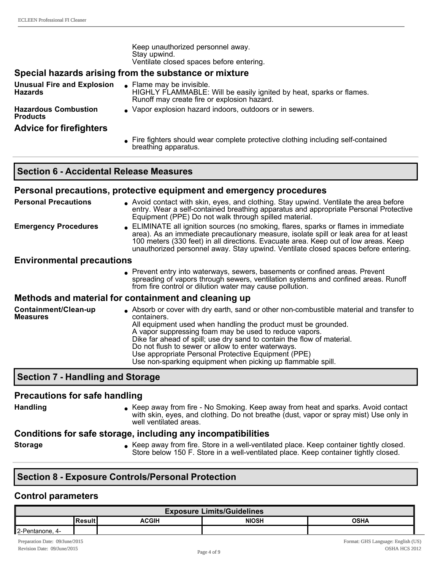| Keep unauthorized personnel away.        |
|------------------------------------------|
| Stay upwind.                             |
| Ventilate closed spaces before entering. |

#### **Special hazards arising from the substance or mixture**

**Unusual Fire and Explosion Hazards**  $\bullet$  Flame may be invisible. HIGHLY FLAMMABLE: Will be easily ignited by heat, sparks or flames. Runoff may create fire or explosion hazard.

**Hazardous Combustion Products**

**Advice for firefighters**

- <sup>l</sup> Vapor explosion hazard indoors, outdoors or in sewers.
- <sup>l</sup> Fire fighters should wear complete protective clothing including selfcontained breathing apparatus.

#### **Section 6 Accidental Release Measures**

#### **Personal precautions, protective equipment and emergency procedures**

| <b>Personal Precautions</b>      | • Avoid contact with skin, eyes, and clothing. Stay upwind. Ventilate the area before<br>entry. Wear a self-contained breathing apparatus and appropriate Personal Protective<br>Equipment (PPE) Do not walk through spilled material.                                                                                                                    |
|----------------------------------|-----------------------------------------------------------------------------------------------------------------------------------------------------------------------------------------------------------------------------------------------------------------------------------------------------------------------------------------------------------|
| <b>Emergency Procedures</b>      | • ELIMINATE all ignition sources (no smoking, flares, sparks or flames in immediate<br>area). As an immediate precautionary measure, isolate spill or leak area for at least<br>100 meters (330 feet) in all directions. Evacuate area. Keep out of low areas. Keep<br>unauthorized personnel away. Stay upwind. Ventilate closed spaces before entering. |
| <b>Environmental precautions</b> |                                                                                                                                                                                                                                                                                                                                                           |
|                                  | Prevent entry into waterways, sewers, basements or confined areas. Prevent<br>spreading of vapors through sewers, ventilation systems and confined areas. Runoff                                                                                                                                                                                          |

#### **Methods and material for containment and cleaning up**

| Containment/Clean-up<br><b>Measures</b> | Absorb or cover with dry earth, sand or other non-combustible material and transfer to<br>containers.<br>All equipment used when handling the product must be grounded.<br>A vapor suppressing foam may be used to reduce vapors.<br>Dike far ahead of spill; use dry sand to contain the flow of material.<br>Do not flush to sewer or allow to enter waterways.<br>Use appropriate Personal Protective Equipment (PPE) |
|-----------------------------------------|--------------------------------------------------------------------------------------------------------------------------------------------------------------------------------------------------------------------------------------------------------------------------------------------------------------------------------------------------------------------------------------------------------------------------|
|                                         | Use non-sparking equipment when picking up flammable spill.                                                                                                                                                                                                                                                                                                                                                              |

from fire control or dilution water may cause pollution.

### **Section 7 Handling and Storage**

#### **Precautions for safe handling**

Handling **letting Reep away from fire - No Smoking. Keep away from heat and sparks. Avoid contact** with skin, eyes, and clothing. Do not breathe (dust, vapor or spray mist) Use only in well ventilated areas.

#### **Conditions for safe storage, including any incompatibilities**

**Storage Storage Storage Accep away from fire. Store in a well-ventilated place. Keep container tightly closed.** Store below 150 F. Store in a well-ventilated place. Keep container tightly closed.

### **Section 8 Exposure Controls/Personal Protection**

#### **Control parameters**

| <b>Exposure Limits/Guidelines</b>              |  |  |  |  |  |
|------------------------------------------------|--|--|--|--|--|
| <b>NIOSH</b><br>ACGIH<br><b>OSHA</b><br>Result |  |  |  |  |  |
| 2-Pentanone, 4-                                |  |  |  |  |  |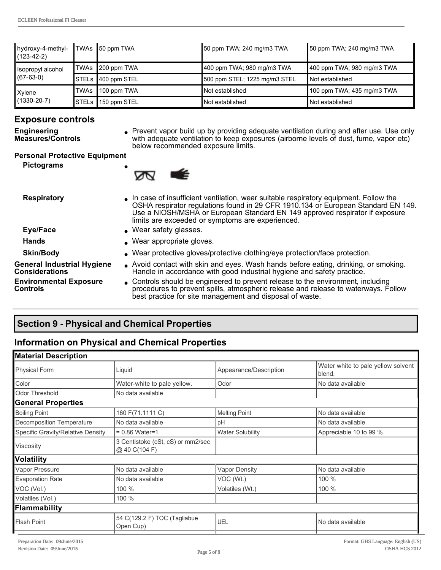| hydroxy-4-methyl- TWAs 50 ppm TWA<br>$(123 - 42 - 2)$ |      |                    | 50 ppm TWA; 240 mg/m3 TWA     | 50 ppm TWA; 240 mg/m3 TWA  |
|-------------------------------------------------------|------|--------------------|-------------------------------|----------------------------|
| Isopropyl alcohol                                     |      | TWAs ∥200 ppm TWA  | 400 ppm TWA; 980 mg/m3 TWA    | 400 ppm TWA; 980 mg/m3 TWA |
| $(67-63-0)$                                           |      | STELs 400 ppm STEL | 500 ppm STEL; 1225 mg/m3 STEL | <b>Not established</b>     |
| Xylene<br>$(1330 - 20 - 7)$                           | TWAs | $100$ ppm TWA      | Not established               | 100 ppm TWA; 435 mg/m3 TWA |
|                                                       |      | STELs 150 ppm STEL | Not established               | Not established            |

## **Exposure controls**

**Engineering Measures/Controls** • Prevent vapor build up by providing adequate ventilation during and after use. Use only with adequate ventilation to keep exposures (airborne levels of dust, fume, vapor etc) below recommended exposure limits.

#### **Personal Protective Equipment**

**Pictograms** 



**Respiratory and In case of insufficient ventilation, wear suitable respiratory equipment. Follow the** OSHA respirator regulations found in 29 CFR 1910.134 or European Standard EN 149. Use a NIOSH/MSHA or European Standard EN 149 approved respirator if exposure limits are exceeded or symptoms are experienced. **Eye/Face lacks C** Wear safety glasses. Hands **and South America** Hands **late State Gloves**. **Skin/Body lace in American symbology Wear protective gloves/protective clothing/eye protection/face protection. General Industrial Hygiene Considerations** <sup>l</sup> Avoid contact with skin and eyes. Wash hands before eating, drinking, or smoking. Handle in accordance with good industrial hygiene and safety practice. **Environmental Exposure Controls** • Controls should be engineered to prevent release to the environment, including procedures to prevent spills, atmospheric release and release to waterways. Follow

## **Section 9 Physical and Chemical Properties**

## **Information on Physical and Chemical Properties**

| <b>Material Description</b>       |                                                    |                         |                                              |  |  |
|-----------------------------------|----------------------------------------------------|-------------------------|----------------------------------------------|--|--|
| <b>Physical Form</b>              | Liquid                                             | Appearance/Description  | Water white to pale yellow solvent<br>blend. |  |  |
| Color                             | Water-white to pale yellow.                        | Odor                    | No data available                            |  |  |
| <b>Odor Threshold</b>             | No data available                                  |                         |                                              |  |  |
| <b>General Properties</b>         |                                                    |                         |                                              |  |  |
| <b>Boiling Point</b>              | 160 F(71.1111 C)                                   | <b>Melting Point</b>    | No data available                            |  |  |
| Decomposition Temperature         | No data available                                  | pH                      | No data available                            |  |  |
| Specific Gravity/Relative Density | $= 0.86$ Water=1                                   | <b>Water Solubility</b> | Appreciable 10 to 99 %                       |  |  |
| Viscosity                         | 3 Centistoke (cSt, cS) or mm2/sec<br>@ 40 C(104 F) |                         |                                              |  |  |
| <b>Volatility</b>                 |                                                    |                         |                                              |  |  |
| Vapor Pressure                    | No data available                                  | <b>Vapor Density</b>    | No data available                            |  |  |
| <b>Evaporation Rate</b>           | No data available                                  | VOC (Wt.)               | 100 %                                        |  |  |
| VOC (Vol.)                        | 100 %                                              | Volatiles (Wt.)         | 100 %                                        |  |  |
| Volatiles (Vol.)                  | 100 %                                              |                         |                                              |  |  |
| Flammability                      |                                                    |                         |                                              |  |  |
| <b>Flash Point</b>                | 54 C(129.2 F) TOC (Tagliabue<br>Open Cup)          | UEL                     | No data available                            |  |  |
|                                   |                                                    |                         |                                              |  |  |

best practice for site management and disposal of waste.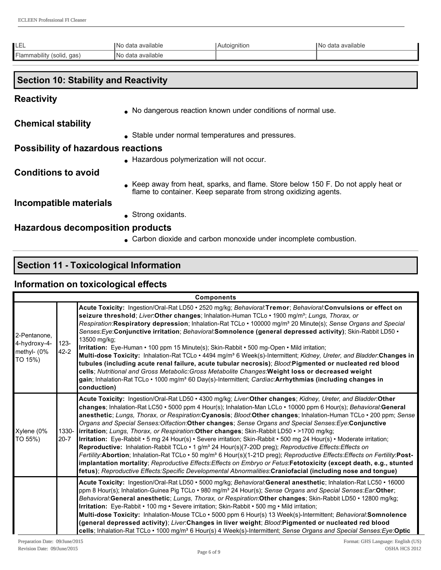| ᄂᄃᄂ                       | <sup>1</sup> No data available | Autoignition | INo data available |
|---------------------------|--------------------------------|--------------|--------------------|
| Flammability (solid, gas) | No data available              |              |                    |

## **Section 10: Stability and Reactivity**

### **Reactivity**

• No dangerous reaction known under conditions of normal use.

**Chemical stability**

• Stable under normal temperatures and pressures.

### **Possibility of hazardous reactions**

**.** Hazardous polymerization will not occur.

## **Conditions to avoid**

<sup>l</sup> Keep away from heat, sparks, and flame. Store below 150 F. Do not apply heat or flame to container. Keep separate from strong oxidizing agents.

## **Incompatible materials**

 $\bullet$  Strong oxidants.

### **Hazardous decomposition products**

• Carbon dioxide and carbon monoxide under incomplete combustion.

## **Section 11 Toxicological Information**

### **Information on toxicological effects**

| <b>Components</b>                                      |                     |                                                                                                                                                                                                                                                                                                                                                                                                                                                                                                                                                                                                                                                                                                                                                                                                                                                                                                                                                                                                                                                                                                                                                                                                     |  |
|--------------------------------------------------------|---------------------|-----------------------------------------------------------------------------------------------------------------------------------------------------------------------------------------------------------------------------------------------------------------------------------------------------------------------------------------------------------------------------------------------------------------------------------------------------------------------------------------------------------------------------------------------------------------------------------------------------------------------------------------------------------------------------------------------------------------------------------------------------------------------------------------------------------------------------------------------------------------------------------------------------------------------------------------------------------------------------------------------------------------------------------------------------------------------------------------------------------------------------------------------------------------------------------------------------|--|
| 2-Pentanone,<br>4-hydroxy-4-<br>methyl- (0%<br>TO 15%) | $123 -$<br>$42 - 2$ | Acute Toxicity: Ingestion/Oral-Rat LD50 • 2520 mg/kg; Behavioral:Tremor; Behavioral:Convulsions or effect on<br>seizure threshold; Liver:Other changes; Inhalation-Human TCLo · 1900 mg/m <sup>3</sup> ; Lungs, Thorax, or<br>Respiration: Respiratory depression; Inhalation-Rat TCLo · 100000 mg/m <sup>3</sup> 20 Minute(s); Sense Organs and Special<br>Senses: Eye: Conjunctive irritation; Behavioral: Somnolence (general depressed activity); Skin-Rabbit LD50 .<br>13500 mg/kg;<br>Irritation: Eye-Human • 100 ppm 15 Minute(s); Skin-Rabbit • 500 mg-Open • Mild irritation;<br>Multi-dose Toxicity: Inhalation-Rat TCLo · 4494 mg/m <sup>3</sup> 6 Week(s)-Intermittent; Kidney, Ureter, and Bladder: Changes in<br>tubules (including acute renal failure, acute tubular necrosis); Blood:Pigmented or nucleated red blood<br>cells; Nutritional and Gross Metabolic: Gross Metabolite Changes: Weight loss or decreased weight<br>gain; Inhalation-Rat TCLo · 1000 mg/m <sup>3</sup> 60 Day(s)-Intermittent; Cardiac: Arrhythmias (including changes in<br>conduction)                                                                                                                 |  |
| Xylene (0%<br>TO 55%)                                  | $20 - 7$            | Acute Toxicity: Ingestion/Oral-Rat LD50 • 4300 mg/kg; Liver:Other changes; Kidney, Ureter, and Bladder:Other<br>changes; Inhalation-Rat LC50 • 5000 ppm 4 Hour(s); Inhalation-Man LCLo • 10000 ppm 6 Hour(s); Behavioral:General<br>anesthetic; Lungs, Thorax, or Respiration: Cyanosis; Blood: Other changes; Inhalation-Human TCLo · 200 ppm; Sense<br>Organs and Special Senses: Olfaction: Other changes; Sense Organs and Special Senses: Eye: Conjunctive<br>1330- lirritation; Lungs, Thorax, or Respiration:Other changes; Skin-Rabbit LD50 • >1700 mg/kg;<br>Irritation: Eye-Rabbit • 5 mg 24 Hour(s) • Severe irritation; Skin-Rabbit • 500 mg 24 Hour(s) • Moderate irritation;<br>Reproductive: Inhalation-Rabbit TCLo • 1 g/m <sup>3</sup> 24 Hour(s)(7-20D preg); Reproductive Effects: Effects on<br>Fertility: Abortion; Inhalation-Rat TCLo · 50 mg/m <sup>3</sup> 6 Hour(s)(1-21D preg); Reproductive Effects: Effects on Fertility: Post-<br>implantation mortality; Reproductive Effects: Effects on Embryo or Fetus: Fetotoxicity (except death, e.g., stunted<br>fetus); Reproductive Effects: Specific Developmental Abnormalities: Craniofacial (including nose and tongue) |  |
|                                                        |                     | Acute Toxicity: Ingestion/Oral-Rat LD50 · 5000 mg/kg; Behavioral:General anesthetic; Inhalation-Rat LC50 · 16000<br>ppm 8 Hour(s); Inhalation-Guinea Pig TCLo · 980 mg/m <sup>3</sup> 24 Hour(s); Sense Organs and Special Senses: Ear: Other;<br>Behavioral: General anesthetic; Lungs, Thorax, or Respiration: Other changes; Skin-Rabbit LD50 · 12800 mg/kg;<br>Irritation: Eye-Rabbit • 100 mg · Severe irritation; Skin-Rabbit · 500 mg · Mild irritation;<br>Multi-dose Toxicity: Inhalation-Mouse TCLo · 5000 ppm 6 Hour(s) 13 Week(s)-Intermittent; Behavioral:Somnolence<br>(general depressed activity); Liver:Changes in liver weight; Blood:Pigmented or nucleated red blood<br>cells; Inhalation-Rat TCLo • 1000 mg/m <sup>3</sup> 6 Hour(s) 4 Week(s)-Intermittent; Sense Organs and Special Senses: Eye: Optic                                                                                                                                                                                                                                                                                                                                                                       |  |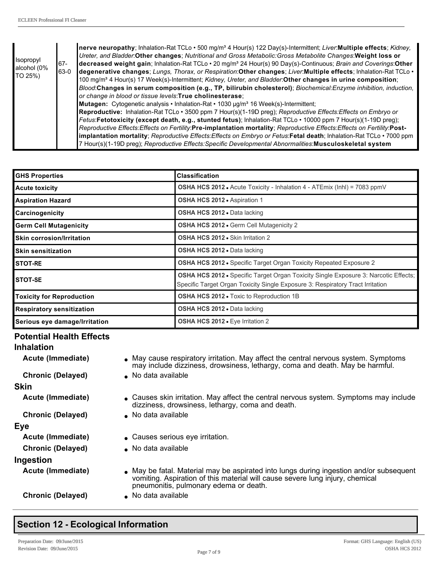| <i><b>Isopropyl</b></i><br>$67 -$<br>alcohol (0%<br>63-0<br>TO 25%) |  | nerve neuropathy; Inhalation-Rat TCLo • 500 mg/m <sup>3</sup> 4 Hour(s) 122 Day(s)-Intermittent; Liver:Multiple effects; Kidney,<br>Ureter, and Bladder Other changes; Nutritional and Gross Metabolic: Gross Metabolite Changes: Weight loss or<br>decreased weight gain; Inhalation-Rat TCLo · 20 mg/m <sup>3</sup> 24 Hour(s) 90 Day(s)-Continuous; Brain and Coverings: Other<br>degenerative changes; Lungs, Thorax, or Respiration: Other changes; Liver: Multiple effects; Inhalation-Rat TCLo .<br>100 mg/m <sup>3</sup> 4 Hour(s) 17 Week(s)-Intermittent; Kidney, Ureter, and Bladder: Other changes in urine composition;<br>Blood:Changes in serum composition (e.g., TP, bilirubin cholesterol); Biochemical:Enzyme inhibition, induction,<br>or change in blood or tissue levels: True cholinesterase; |
|---------------------------------------------------------------------|--|----------------------------------------------------------------------------------------------------------------------------------------------------------------------------------------------------------------------------------------------------------------------------------------------------------------------------------------------------------------------------------------------------------------------------------------------------------------------------------------------------------------------------------------------------------------------------------------------------------------------------------------------------------------------------------------------------------------------------------------------------------------------------------------------------------------------|
|                                                                     |  | Mutagen: Cytogenetic analysis • Inhalation-Rat • 1030 µg/m <sup>3</sup> 16 Week(s)-Intermittent;<br>Reproductive: Inhalation-Rat TCLo • 3500 ppm 7 Hour(s)(1-19D preg); Reproductive Effects: Effects on Embryo or<br>Fetus:Fetotoxicity (except death, e.g., stunted fetus); Inhalation-Rat TCLo · 10000 ppm 7 Hour(s)(1-19D preg);<br>Reproductive Effects: Effects on Fertility: Pre-implantation mortality; Reproductive Effects: Effects on Fertility: Post-<br>implantation mortality; Reproductive Effects: Effects on Embryo or Fetus: Fetal death; Inhalation-Rat TCLo · 7000 ppm<br>7 Hour(s)(1-19D preg); Reproductive Effects: Specific Developmental Abnormalities: Musculoskeletal system                                                                                                              |

| <b>GHS Properties</b>                                                                                                                                                                          | <b>Classification</b>                                                            |  |
|------------------------------------------------------------------------------------------------------------------------------------------------------------------------------------------------|----------------------------------------------------------------------------------|--|
| <b>Acute toxicity</b>                                                                                                                                                                          | <b>OSHA HCS 2012 •</b> Acute Toxicity - Inhalation 4 - ATEmix (Inhl) = 7083 ppmV |  |
| <b>Aspiration Hazard</b>                                                                                                                                                                       | OSHA HCS 2012 · Aspiration 1                                                     |  |
| Carcinogenicity                                                                                                                                                                                | OSHA HCS 2012 . Data lacking                                                     |  |
| <b>Germ Cell Mutagenicity</b>                                                                                                                                                                  | OSHA HCS 2012 . Germ Cell Mutagenicity 2                                         |  |
| <b>Skin corrosion/Irritation</b>                                                                                                                                                               | OSHA HCS 2012 • Skin Irritation 2                                                |  |
| <b>Skin sensitization</b>                                                                                                                                                                      | <b>OSHA HCS 2012 • Data lacking</b>                                              |  |
| <b>STOT-RE</b>                                                                                                                                                                                 | OSHA HCS 2012 · Specific Target Organ Toxicity Repeated Exposure 2               |  |
| <b>OSHA HCS 2012 •</b> Specific Target Organ Toxicity Single Exposure 3: Narcotic Effects;<br><b>STOT-SE</b><br>Specific Target Organ Toxicity Single Exposure 3: Respiratory Tract Irritation |                                                                                  |  |
| <b>Toxicity for Reproduction</b>                                                                                                                                                               | <b>OSHA HCS 2012 - Toxic to Reproduction 1B</b>                                  |  |
| <b>Respiratory sensitization</b>                                                                                                                                                               | <b>OSHA HCS 2012 • Data lacking</b>                                              |  |
| Serious eye damage/Irritation                                                                                                                                                                  | <b>OSHA HCS 2012 •</b> Eye Irritation 2                                          |  |

## **Potential Health Effects**

| <b>Inhalation</b>        |                                                                                                                                                                                                                    |
|--------------------------|--------------------------------------------------------------------------------------------------------------------------------------------------------------------------------------------------------------------|
| Acute (Immediate)        | • May cause respiratory irritation. May affect the central nervous system. Symptoms<br>may include dizziness, drowsiness, lethargy, coma and death. May be harmful.                                                |
| <b>Chronic (Delayed)</b> | • No data available                                                                                                                                                                                                |
| <b>Skin</b>              |                                                                                                                                                                                                                    |
| Acute (Immediate)        | • Causes skin irritation. May affect the central nervous system. Symptoms may include<br>dizziness, drowsiness, lethargy, coma and death.                                                                          |
| <b>Chronic (Delayed)</b> | • No data available                                                                                                                                                                                                |
| <b>Eye</b>               |                                                                                                                                                                                                                    |
| <b>Acute (Immediate)</b> | • Causes serious eye irritation.                                                                                                                                                                                   |
| <b>Chronic (Delayed)</b> | • No data available                                                                                                                                                                                                |
| Ingestion                |                                                                                                                                                                                                                    |
| Acute (Immediate)        | • May be fatal. Material may be aspirated into lungs during ingestion and/or subsequent<br>vomiting. Aspiration of this material will cause severe lung injury, chemical<br>pneumonitis, pulmonary edema or death. |
| <b>Chronic (Delayed)</b> | • No data available                                                                                                                                                                                                |

# **Section 12 - Ecological Information**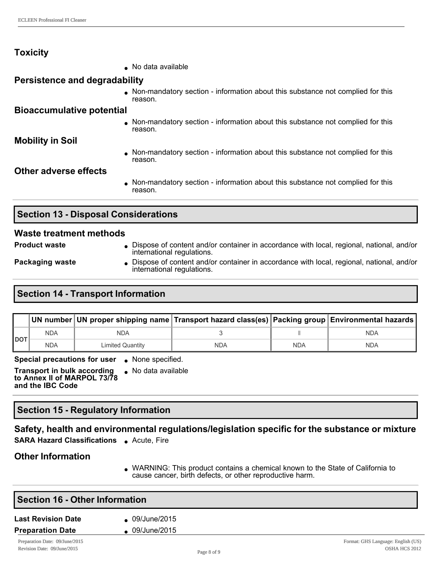## **Toxicity**

| .                                    |                                                                                             |
|--------------------------------------|---------------------------------------------------------------------------------------------|
|                                      | No data available                                                                           |
| <b>Persistence and degradability</b> |                                                                                             |
|                                      | • Non-mandatory section - information about this substance not complied for this<br>reason. |
| <b>Bioaccumulative potential</b>     |                                                                                             |
|                                      | • Non-mandatory section - information about this substance not complied for this<br>reason. |
| <b>Mobility in Soil</b>              |                                                                                             |
|                                      | Non-mandatory section - information about this substance not complied for this<br>reason.   |
| Other adverse effects                |                                                                                             |
|                                      | • Non-mandatory section - information about this substance not complied for this<br>reason. |
|                                      |                                                                                             |

 $\bullet$  No data available

## **Section 13 - Disposal Considerations**

#### **Waste treatment methods**

- **Product waste label in Andrew Content and/or container in accordance with local, regional, national, and/or content and/or container in accordance with local, regional, national, and/or** international regulations.
- 
- **Packaging waste I** Dispose of content and/or container in accordance with local, regional, national, and/or international regulations.

## **Section 14 - Transport Information**

|            |            |                  | UN number   UN proper shipping name   Transport hazard class(es)   Packing group   Environmental hazards |            |            |
|------------|------------|------------------|----------------------------------------------------------------------------------------------------------|------------|------------|
| <b>DOT</b> | <b>NDA</b> | NDA              |                                                                                                          |            | <b>NDA</b> |
|            | <b>NDA</b> | Limited Quantity | NDA                                                                                                      | <b>NDA</b> | <b>NDA</b> |

**Special precautions for user** . None specified.

**Transport in bulk according to Annex II of MARPOL 73/78 and the IBC Code**

## **Section 15 Regulatory Information**

### **Safety, health and environmental regulations/legislation specific for the substance or mixture**

**SARA Hazard Classifications .** Acute, Fire

### **Other Information**

• WARNING: This product contains a chemical known to the State of California to cause cancer, birth defects, or other reproductive harm.

| <b>Section 16 - Other Information</b> |              |  |
|---------------------------------------|--------------|--|
| <b>Last Revision Date</b>             | 09/June/2015 |  |
| <b>Preparation Date</b>               | 09/June/2015 |  |